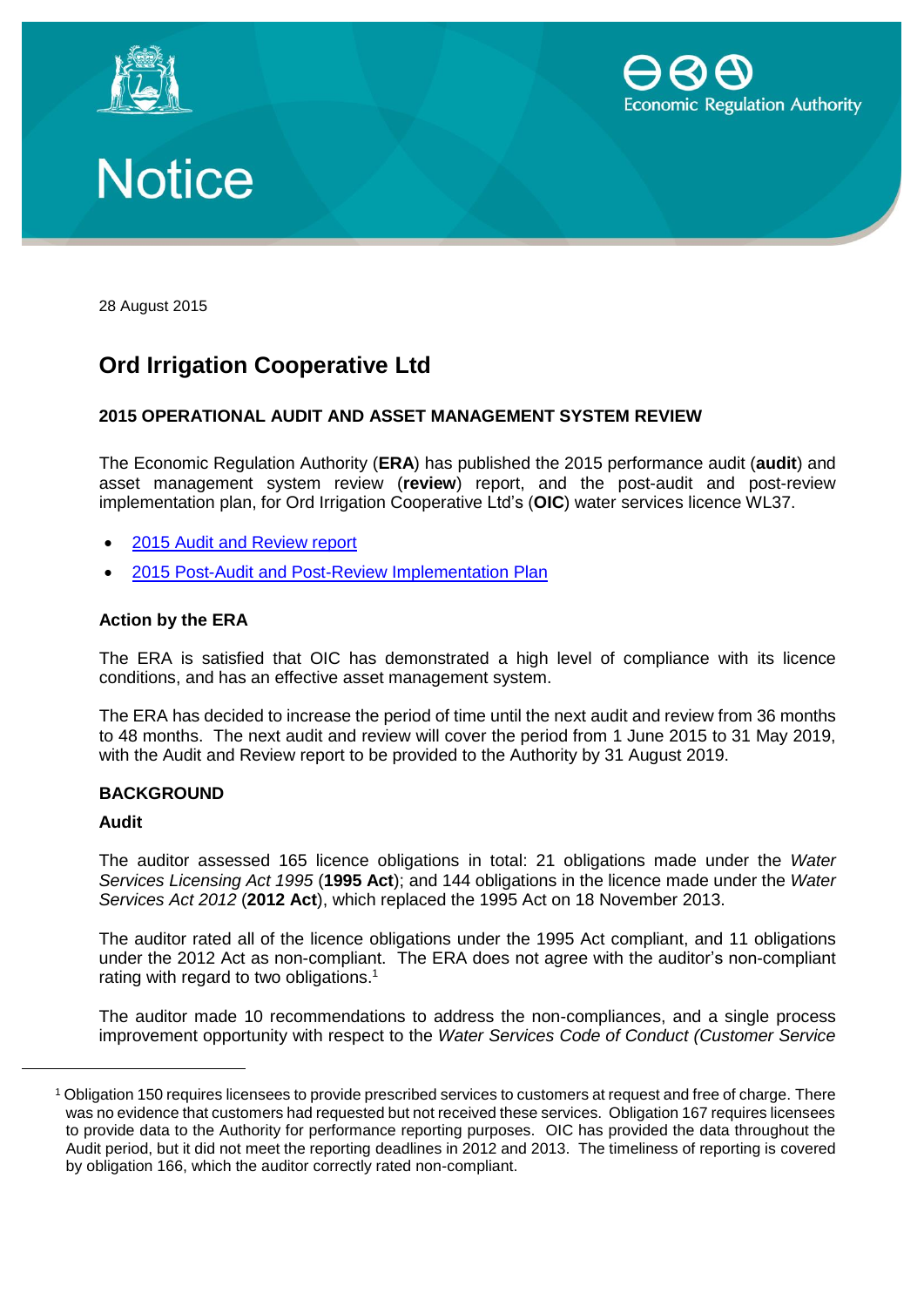





28 August 2015

# **Ord Irrigation Cooperative Ltd**

## **2015 OPERATIONAL AUDIT AND ASSET MANAGEMENT SYSTEM REVIEW**

The Economic Regulation Authority (**ERA**) has published the 2015 performance audit (**audit**) and asset management system review (**review**) report, and the post-audit and post-review implementation plan, for Ord Irrigation Cooperative Ltd's (**OIC**) water services licence WL37.

- 2015 [Audit and Review report](http://www.erawa.com.au/cproot/13833/2/2015%20Operational%20Audit%20and%20Asset%20Management%20Review%20Report%20-%20Ord%20Irrigation.PDF)
- 2015 [Post-Audit and Post-Review Implementation Plan](http://www.erawa.com.au/cproot/13834/2/2015%20Post-review%20Implementation%20Plan%20-%20Ord%20Irrigation.PDF)

## **Action by the ERA**

The ERA is satisfied that OIC has demonstrated a high level of compliance with its licence conditions, and has an effective asset management system.

The ERA has decided to increase the period of time until the next audit and review from 36 months to 48 months. The next audit and review will cover the period from 1 June 2015 to 31 May 2019, with the Audit and Review report to be provided to the Authority by 31 August 2019.

## **BACKGROUND**

#### **Audit**

 $\overline{a}$ 

The auditor assessed 165 licence obligations in total: 21 obligations made under the *Water Services Licensing Act 1995* (**1995 Act**); and 144 obligations in the licence made under the *Water Services Act 2012* (**2012 Act**), which replaced the 1995 Act on 18 November 2013.

The auditor rated all of the licence obligations under the 1995 Act compliant, and 11 obligations under the 2012 Act as non-compliant. The ERA does not agree with the auditor's non-compliant rating with regard to two obligations.<sup>1</sup>

The auditor made 10 recommendations to address the non-compliances, and a single process improvement opportunity with respect to the *Water Services Code of Conduct (Customer Service* 

<sup>1</sup> Obligation 150 requires licensees to provide prescribed services to customers at request and free of charge. There was no evidence that customers had requested but not received these services. Obligation 167 requires licensees to provide data to the Authority for performance reporting purposes. OIC has provided the data throughout the Audit period, but it did not meet the reporting deadlines in 2012 and 2013. The timeliness of reporting is covered by obligation 166, which the auditor correctly rated non-compliant.